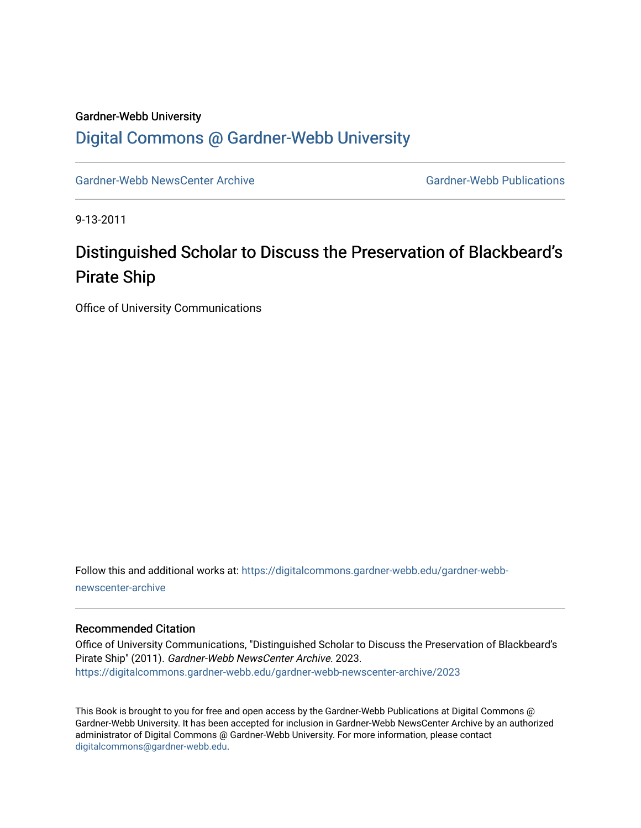## Gardner-Webb University [Digital Commons @ Gardner-Webb University](https://digitalcommons.gardner-webb.edu/)

[Gardner-Webb NewsCenter Archive](https://digitalcommons.gardner-webb.edu/gardner-webb-newscenter-archive) Gardner-Webb Publications

9-13-2011

## Distinguished Scholar to Discuss the Preservation of Blackbeard's Pirate Ship

Office of University Communications

Follow this and additional works at: [https://digitalcommons.gardner-webb.edu/gardner-webb](https://digitalcommons.gardner-webb.edu/gardner-webb-newscenter-archive?utm_source=digitalcommons.gardner-webb.edu%2Fgardner-webb-newscenter-archive%2F2023&utm_medium=PDF&utm_campaign=PDFCoverPages)[newscenter-archive](https://digitalcommons.gardner-webb.edu/gardner-webb-newscenter-archive?utm_source=digitalcommons.gardner-webb.edu%2Fgardner-webb-newscenter-archive%2F2023&utm_medium=PDF&utm_campaign=PDFCoverPages)

## Recommended Citation

Office of University Communications, "Distinguished Scholar to Discuss the Preservation of Blackbeard's Pirate Ship" (2011). Gardner-Webb NewsCenter Archive. 2023. [https://digitalcommons.gardner-webb.edu/gardner-webb-newscenter-archive/2023](https://digitalcommons.gardner-webb.edu/gardner-webb-newscenter-archive/2023?utm_source=digitalcommons.gardner-webb.edu%2Fgardner-webb-newscenter-archive%2F2023&utm_medium=PDF&utm_campaign=PDFCoverPages) 

This Book is brought to you for free and open access by the Gardner-Webb Publications at Digital Commons @ Gardner-Webb University. It has been accepted for inclusion in Gardner-Webb NewsCenter Archive by an authorized administrator of Digital Commons @ Gardner-Webb University. For more information, please contact [digitalcommons@gardner-webb.edu](mailto:digitalcommons@gardner-webb.edu).